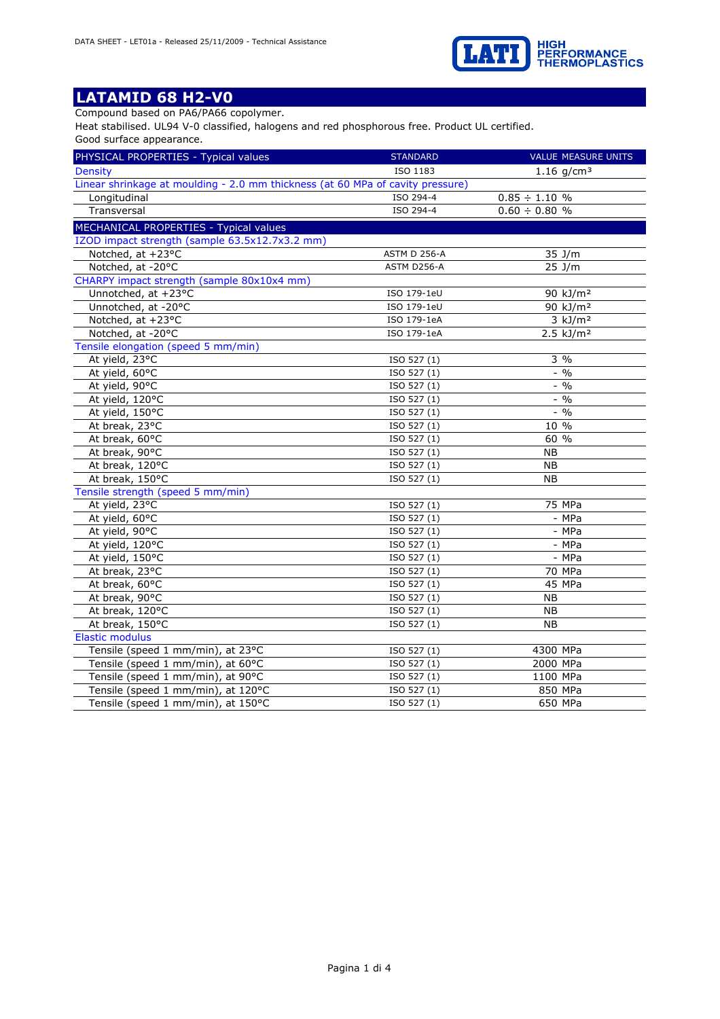

Compound based on PA6/PA66 copolymer.

Heat stabilised. UL94 V-0 classified, halogens and red phosphorous free. Product UL certified. Good surface appearance.

| PHYSICAL PROPERTIES - Typical values                                           | <b>STANDARD</b> | <b>VALUE MEASURE UNITS</b> |
|--------------------------------------------------------------------------------|-----------------|----------------------------|
| <b>Density</b>                                                                 | ISO 1183        | 1.16 $q/cm^3$              |
| Linear shrinkage at moulding - 2.0 mm thickness (at 60 MPa of cavity pressure) |                 |                            |
| Longitudinal                                                                   | ISO 294-4       | $0.85 \div 1.10$ %         |
| Transversal                                                                    | ISO 294-4       | $0.60 \div 0.80 %$         |
| MECHANICAL PROPERTIES - Typical values                                         |                 |                            |
| IZOD impact strength (sample 63.5x12.7x3.2 mm)                                 |                 |                            |
| Notched, at +23°C                                                              | ASTM D 256-A    | 35 J/m                     |
| Notched, at -20°C                                                              | ASTM D256-A     | $25$ J/m                   |
| CHARPY impact strength (sample 80x10x4 mm)                                     |                 |                            |
| Unnotched, at +23°C                                                            | ISO 179-1eU     | 90 kJ/m <sup>2</sup>       |
| Unnotched, at -20°C                                                            | ISO 179-1eU     | 90 kJ/m <sup>2</sup>       |
| Notched, at +23°C                                                              | ISO 179-1eA     | $3$ kJ/m <sup>2</sup>      |
| Notched, at -20°C                                                              | ISO 179-1eA     | $2.5$ kJ/m <sup>2</sup>    |
| Tensile elongation (speed 5 mm/min)                                            |                 |                            |
| At yield, 23°C                                                                 | ISO 527 (1)     | $3\%$                      |
| At yield, 60°C                                                                 | ISO 527 (1)     | $-9/6$                     |
| At yield, 90°C                                                                 | ISO 527 (1)     | $-9/0$                     |
| At yield, 120°C                                                                | ISO 527 (1)     | $-9/0$                     |
| At yield, 150°C                                                                | ISO 527 (1)     | $-9/0$                     |
| At break, 23°C                                                                 | ISO 527 (1)     | 10 %                       |
| At break, 60°C                                                                 | ISO 527 (1)     | 60 %                       |
| At break, 90°C                                                                 | ISO 527 (1)     | <b>NB</b>                  |
| At break, 120°C                                                                | ISO 527 (1)     | <b>NB</b>                  |
| At break, 150°C                                                                | ISO 527 (1)     | <b>NB</b>                  |
| Tensile strength (speed 5 mm/min)                                              |                 |                            |
| At yield, 23°C                                                                 | ISO 527 (1)     | 75 MPa                     |
| At yield, 60°C                                                                 | ISO 527 (1)     | - MPa                      |
| At yield, 90°C                                                                 | ISO 527 (1)     | - MPa                      |
| At yield, 120°C                                                                | ISO 527 (1)     | - MPa                      |
| At yield, 150°C                                                                | ISO 527 (1)     | - MPa                      |
| At break, 23°C                                                                 | ISO 527 (1)     | 70 MPa                     |
| At break, 60°C                                                                 | ISO 527 (1)     | 45 MPa                     |
| At break, 90°C                                                                 | ISO 527 (1)     | NΒ                         |
| At break, 120°C                                                                | ISO 527 (1)     | <b>NB</b>                  |
| At break, 150°C                                                                | ISO 527 (1)     | <b>NB</b>                  |
| <b>Elastic modulus</b>                                                         |                 |                            |
| Tensile (speed 1 mm/min), at 23°C                                              | ISO 527 (1)     | 4300 MPa                   |
| Tensile (speed 1 mm/min), at 60°C                                              | ISO 527 (1)     | 2000 MPa                   |
| Tensile (speed 1 mm/min), at 90°C                                              | ISO 527 (1)     | 1100 MPa                   |
| Tensile (speed 1 mm/min), at 120°C                                             | ISO 527 (1)     | 850 MPa                    |
| Tensile (speed 1 mm/min), at 150°C                                             | ISO 527 (1)     | 650 MPa                    |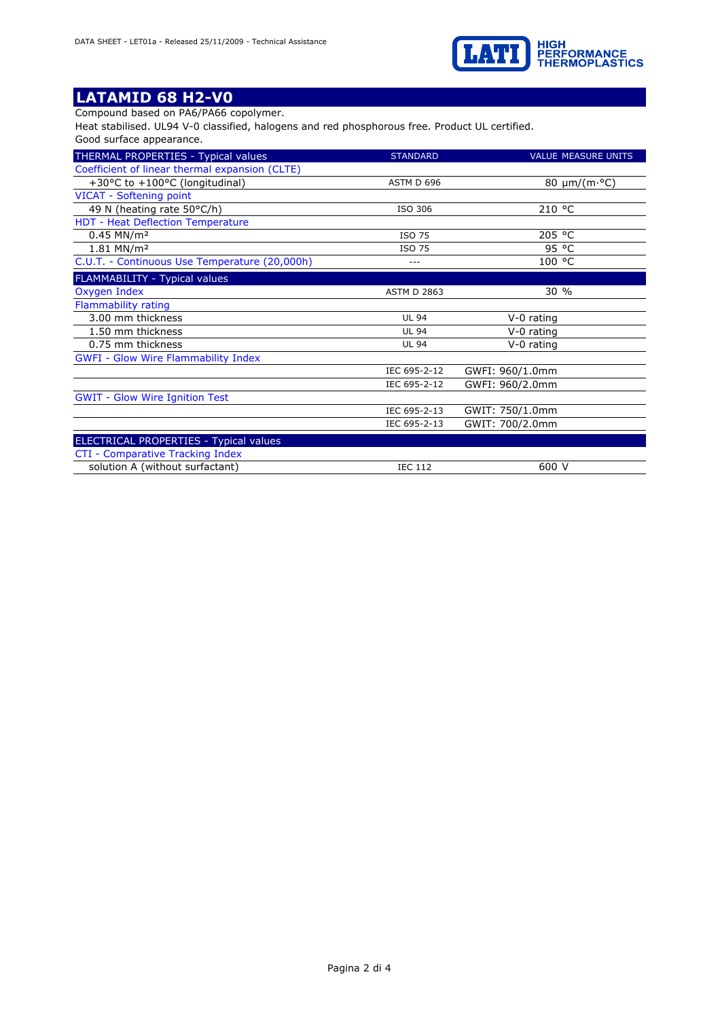

Compound based on PA6/PA66 copolymer.

Heat stabilised. UL94 V-0 classified, halogens and red phosphorous free. Product UL certified. Good surface appearance.

| THERMAL PROPERTIES - Typical values            | <b>STANDARD</b>    | <b>VALUE MEASURE UNITS</b>      |
|------------------------------------------------|--------------------|---------------------------------|
| Coefficient of linear thermal expansion (CLTE) |                    |                                 |
| +30°C to +100°C (longitudinal)                 | ASTM D 696         | 80 $\mu$ m/(m· $\textdegree$ C) |
| VICAT - Softening point                        |                    |                                 |
| 49 N (heating rate 50°C/h)                     | ISO 306            | 210 °C                          |
| <b>HDT - Heat Deflection Temperature</b>       |                    |                                 |
| $0.45$ MN/m <sup>2</sup>                       | <b>ISO 75</b>      | 205 °C                          |
| $1.81$ MN/m <sup>2</sup>                       | <b>ISO 75</b>      | 95 °C                           |
| C.U.T. - Continuous Use Temperature (20,000h)  | ---                | 100 °C                          |
| FLAMMABILITY - Typical values                  |                    |                                 |
| Oxygen Index                                   | <b>ASTM D 2863</b> | 30 %                            |
| Flammability rating                            |                    |                                 |
| 3.00 mm thickness                              | <b>UL 94</b>       | V-0 rating                      |
| 1.50 mm thickness                              | <b>UL 94</b>       | V-0 rating                      |
| 0.75 mm thickness                              | <b>UL 94</b>       | V-0 rating                      |
| <b>GWFI - Glow Wire Flammability Index</b>     |                    |                                 |
|                                                | IEC 695-2-12       | GWFI: 960/1.0mm                 |
|                                                | IEC 695-2-12       | GWFI: 960/2.0mm                 |
| <b>GWIT - Glow Wire Ignition Test</b>          |                    |                                 |
|                                                | IEC 695-2-13       | GWIT: 750/1.0mm                 |
|                                                | IEC 695-2-13       | GWIT: 700/2.0mm                 |
| ELECTRICAL PROPERTIES - Typical values         |                    |                                 |
| CTI - Comparative Tracking Index               |                    |                                 |
| solution A (without surfactant)                | <b>IEC 112</b>     | 600 V                           |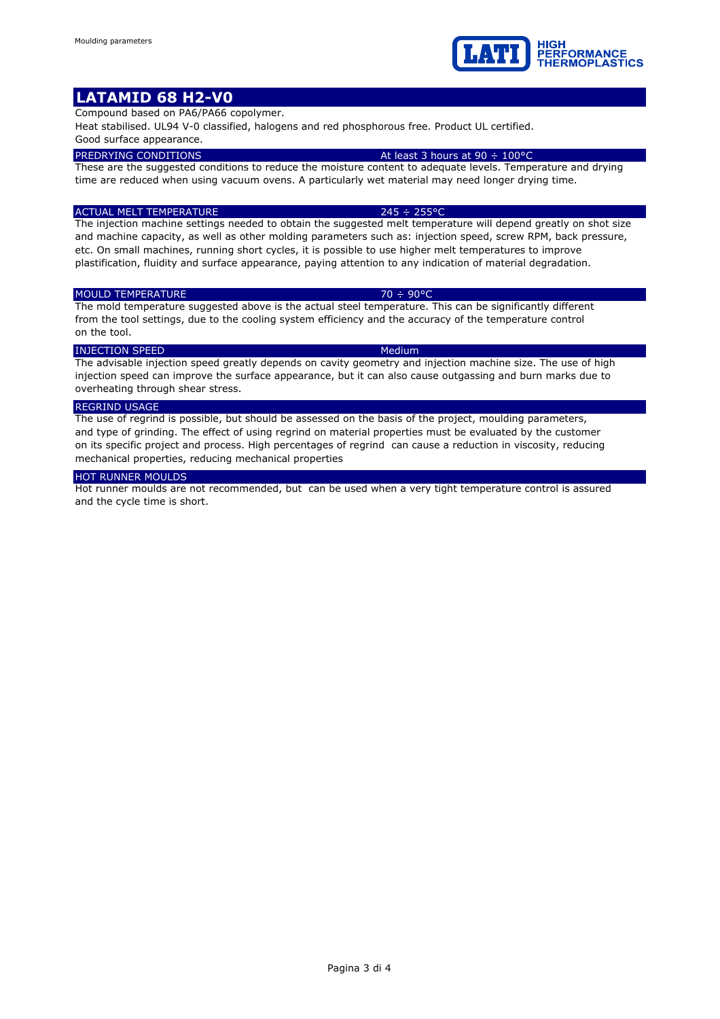

Compound based on PA6/PA66 copolymer.

Heat stabilised. UL94 V-0 classified, halogens and red phosphorous free. Product UL certified.

## Good surface appearance.

PREDRYING CONDITIONS At least 3 hours at 90  $\div$  100°C

These are the suggested conditions to reduce the moisture content to adequate levels. Temperature and drying time are reduced when using vacuum ovens. A particularly wet material may need longer drying time.

## ACTUAL MELT TEMPERATURE 245 ÷ 255°C

The injection machine settings needed to obtain the suggested melt temperature will depend greatly on shot size and machine capacity, as well as other molding parameters such as: injection speed, screw RPM, back pressure, etc. On small machines, running short cycles, it is possible to use higher melt temperatures to improve plastification, fluidity and surface appearance, paying attention to any indication of material degradation.

## MOULD TEMPERATURE 70 ÷ 90°C

The mold temperature suggested above is the actual steel temperature. This can be significantly different from the tool settings, due to the cooling system efficiency and the accuracy of the temperature control on the tool.

### **INJECTION SPEED Medium** Medium

The advisable injection speed greatly depends on cavity geometry and injection machine size. The use of high injection speed can improve the surface appearance, but it can also cause outgassing and burn marks due to overheating through shear stress.

#### REGRIND USAGE

The use of regrind is possible, but should be assessed on the basis of the project, moulding parameters, and type of grinding. The effect of using regrind on material properties must be evaluated by the customer on its specific project and process. High percentages of regrind can cause a reduction in viscosity, reducing mechanical properties, reducing mechanical properties

## HOT RUNNER MOULDS

Hot runner moulds are not recommended, but can be used when a very tight temperature control is assured and the cycle time is short.